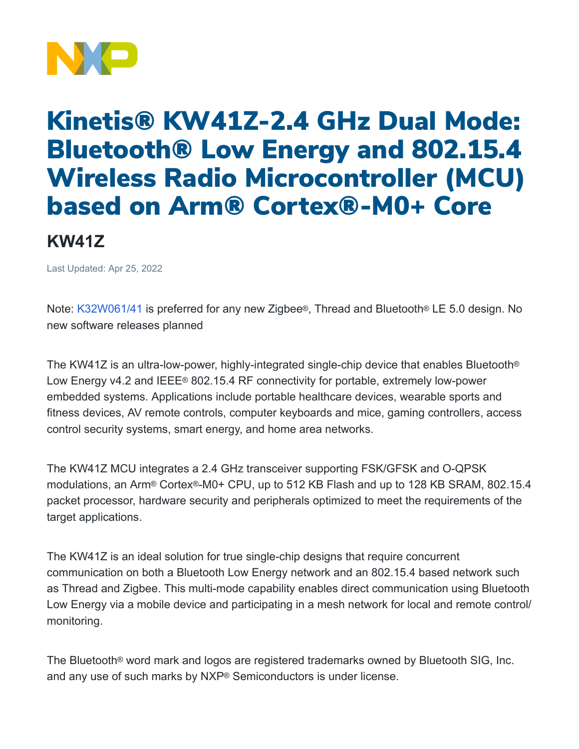

## Kinetis® KW41Z-2.4 GHz Dual Mode: Bluetooth® Low Energy and 802.15.4 Wireless Radio Microcontroller (MCU) based on Arm® Cortex®-M0+ Core

## **KW41Z**

Last Updated: Apr 25, 2022

Note: [K32W061/41](https://www.nxp.com/products/wireless/multiprotocol-mcus/k32w061-41-high-performance-secure-and-ultra-low-power-mcu-for-zigbeethread-and-bluetooth-le-5-0-with-built-in-nfc-option:K32W061_41) is preferred for any new Zigbee®, Thread and Bluetooth® LE 5.0 design. No new software releases planned

The KW41Z is an ultra-low-power, highly-integrated single-chip device that enables Bluetooth® Low Energy v4.2 and IEEE® 802.15.4 RF connectivity for portable, extremely low-power embedded systems. Applications include portable healthcare devices, wearable sports and fitness devices, AV remote controls, computer keyboards and mice, gaming controllers, access control security systems, smart energy, and home area networks.

The KW41Z MCU integrates a 2.4 GHz transceiver supporting FSK/GFSK and O-QPSK modulations, an Arm® Cortex®-M0+ CPU, up to 512 KB Flash and up to 128 KB SRAM, 802.15.4 packet processor, hardware security and peripherals optimized to meet the requirements of the target applications.

The KW41Z is an ideal solution for true single-chip designs that require concurrent communication on both a Bluetooth Low Energy network and an 802.15.4 based network such as Thread and Zigbee. This multi-mode capability enables direct communication using Bluetooth Low Energy via a mobile device and participating in a mesh network for local and remote control/ monitoring.

The Bluetooth® word mark and logos are registered trademarks owned by Bluetooth SIG, Inc. and any use of such marks by NXP® Semiconductors is under license.